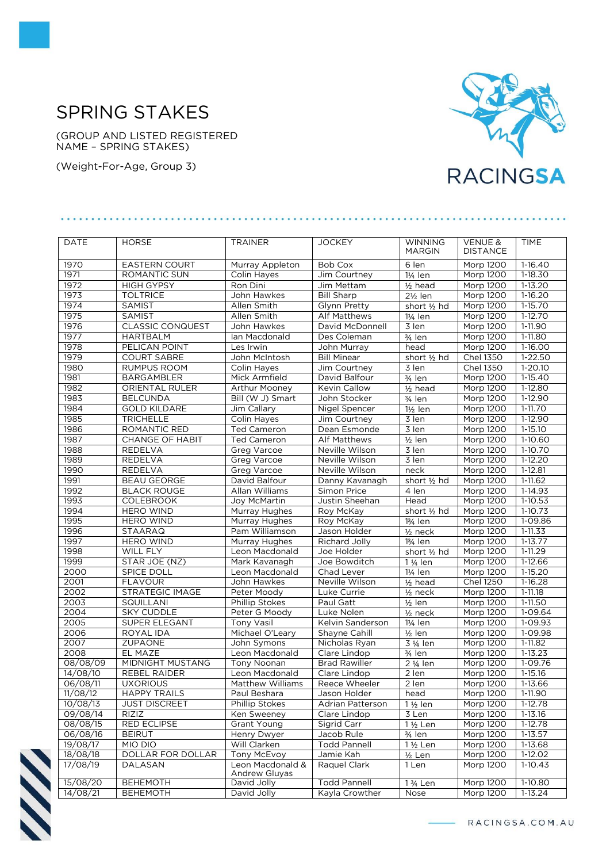## SPRING STAKES

(GROUP AND LISTED REGISTERED NAME – SPRING STAKES)

(Weight-For-Age, Group 3)



| <b>DATE</b> | <b>HORSE</b>            | <b>TRAINER</b>                           | <b>JOCKEY</b>        | <b>WINNING</b>         | <b>VENUE &amp;</b> | <b>TIME</b> |
|-------------|-------------------------|------------------------------------------|----------------------|------------------------|--------------------|-------------|
|             |                         |                                          |                      | <b>MARGIN</b>          | <b>DISTANCE</b>    |             |
| 1970        | <b>EASTERN COURT</b>    | Murray Appleton                          | <b>Bob Cox</b>       | 6 len                  | <b>Morp 1200</b>   | $1-16.40$   |
| 1971        | ROMANTIC SUN            | <b>Colin Haves</b>                       | Jim Courtney         | $1\frac{1}{4}$ len     | Morp 1200          | $1 - 18.30$ |
| 1972        | <b>HIGH GYPSY</b>       | Ron Dini                                 | Jim Mettam           | $1/2$ head             | Morp 1200          | 1-13.20     |
| 1973        | <b>TOLTRICE</b>         | John Hawkes                              | <b>Bill Sharp</b>    | $2\frac{1}{2}$ len     | Morp 1200          | $1-16.20$   |
| 1974        | SAMIST                  | Allen Smith                              | Glynn Pretty         | short $\frac{1}{2}$ hd | Morp 1200          | 1-15.70     |
| 1975        | SAMIST                  | Allen Smith                              | Alf Matthews         | $1\frac{1}{4}$ len     | Morp 1200          | $1-12.70$   |
| 1976        | <b>CLASSIC CONQUEST</b> | John Hawkes                              | David McDonnell      | 3 len                  | <b>Morp 1200</b>   | $1-11.90$   |
| 1977        | <b>HARTBALM</b>         | Ian Macdonald                            | Des Coleman          | $\frac{3}{4}$ len      | Morp 1200          | $1-11.80$   |
| 1978        | PELICAN POINT           | Les Irwin                                | John Murray          | head                   | Morp 1200          | 1-16.00     |
| 1979        | <b>COURT SABRE</b>      | John McIntosh                            | <b>Bill Minear</b>   | short 1/2 hd           | <b>Chel 1350</b>   | $1-22.50$   |
| 1980        | <b>RUMPUS ROOM</b>      | Colin Hayes                              | Jim Courtney         | $\overline{3}$ len     | <b>Chel 1350</b>   | $1 - 20.10$ |
| 1981        | <b>BARGAMBLER</b>       | Mick Armfield                            | David Balfour        | $\frac{3}{4}$ len      | Morp 1200          | $1-15.40$   |
| 1982        | ORIENTAL RULER          | <b>Arthur Mooney</b>                     | Kevin Callow         | $1/2$ head             | Morp 1200          | $1-12.80$   |
| 1983        | <b>BELCUNDA</b>         | Bill (W J) Smart                         | John Stocker         | 3/ <sub>4</sub> len    | Morp 1200          | 1-12.90     |
| 1984        | <b>GOLD KILDARE</b>     | Jim Callary                              | Nigel Spencer        | 1½ len                 | Morp 1200          | 1-11.70     |
| 1985        | <b>TRICHELLE</b>        | Colin Hayes                              | Jim Courtney         | 3 len                  | Morp 1200          | $1-12.90$   |
| 1986        | ROMANTIC RED            | <b>Ted Cameron</b>                       | Dean Esmonde         | $\overline{3}$ len     | Morp 1200          | 1-15.10     |
| 1987        | <b>CHANGE OF HABIT</b>  | <b>Ted Cameron</b>                       | <b>Alf Matthews</b>  | $1/2$ len              | Morp 1200          | $1-10.60$   |
| 1988        | <b>REDELVA</b>          | Greg Varcoe                              | Neville Wilson       | 3 len                  | <b>Morp 1200</b>   | 1-10.70     |
| 1989        | REDELVA                 | Greg Varcoe                              | Neville Wilson       | 3 len                  | Morp 1200          | $1-12.20$   |
| 1990        | <b>REDELVA</b>          | Greg Varcoe                              | Neville Wilson       | neck                   | Morp 1200          | 1-12.81     |
| 1991        | <b>BEAU GEORGE</b>      | David Balfour                            | Danny Kavanagh       | short 1/2 hd           | Morp 1200          | $1-11.62$   |
| 1992        | <b>BLACK ROUGE</b>      | Allan Williams                           | Simon Price          | 4 len                  | Morp 1200          | 1-14.93     |
| 1993        | <b>COLEBROOK</b>        | Joy McMartin                             | Justin Sheehan       | Head                   | Morp 1200          | $1-10.53$   |
| 1994        | <b>HERO WIND</b>        | Murray Hughes                            | Roy McKay            | short 1/2 hd           | Morp 1200          | $1-10.73$   |
| 1995        | <b>HERO WIND</b>        | Murray Hughes                            | Roy McKay            | $13/4$ len             | Morp 1200          | 1-09.86     |
| 1996        | <b>STAARAQ</b>          | Pam Williamson                           | Jason Holder         | $1/2$ neck             | Morp 1200          | $1 - 11.33$ |
| 1997        | <b>HERO WIND</b>        | Murray Hughes                            | Richard Jolly        | 13/ <sub>4</sub> len   | Morp 1200          | $1-13.77$   |
| 1998        | WILL FLY                | Leon Macdonald                           | Joe Holder           | short 1/2 hd           | <b>Morp 1200</b>   | 1-11.29     |
| 1999        | STAR JOE (NZ)           | Mark Kavanagh                            | Joe Bowditch         | 1 1/ <sub>4</sub> len  | Morp 1200          | $1-12.66$   |
| 2000        | SPICE DOLL              | Leon Macdonald                           | Chad Lever           | $1\frac{1}{4}$ len     | Morp 1200          | $1-15.20$   |
| 2001        | <b>FLAVOUR</b>          | John Hawkes                              | Neville Wilson       | $1/2$ head             | <b>Chel 1250</b>   | 1-16.28     |
| 2002        | <b>STRATEGIC IMAGE</b>  | Peter Moody                              | Luke Currie          | $1/2$ neck             | Morp 1200          | $1-11.18$   |
| 2003        | SQUILLANI               | <b>Phillip Stokes</b>                    | Paul Gatt            | $\frac{1}{2}$ len      | Morp 1200          | 1-11.50     |
| 2004        | <b>SKY CUDDLE</b>       | Peter G Moody                            | Luke Nolen           | $1/2$ neck             | Morp 1200          | 1-09.64     |
| 2005        | <b>SUPER ELEGANT</b>    | <b>Tony Vasil</b>                        | Kelvin Sanderson     | 11/ <sub>4</sub> len   | <b>Morp 1200</b>   | $1 - 09.93$ |
| 2006        | ROYAL IDA               | Michael O'Leary                          | Shayne Cahill        | $1/2$ len              | Morp 1200          | 1-09.98     |
| 2007        | ZUPAONE                 | John Symons                              | Nicholas Ryan        | 3 1/ <sub>4</sub> len  | <b>Morp 1200</b>   | 1-11.82     |
| 2008        | EL MAZE                 | Leon Macdonald                           | Clare Lindop         | 3/4 len                | <b>Morp 1200</b>   | $1 - 13.23$ |
| 08/08/09    | MIDNIGHT MUSTANG        | Tony Noonan                              | <b>Brad Rawiller</b> | 2 1/ <sub>4</sub> len  | <b>Morp 1200</b>   | 1-09.76     |
| 14/08/10    | <b>REBEL RAIDER</b>     | Leon Macdonald                           | Clare Lindop         | 2 len                  | <b>Morp 1200</b>   | 1-15.16     |
| 06/08/11    | <b>UXORIOUS</b>         | <b>Matthew Williams</b>                  | Reece Wheeler        | 2 len                  | Morp 1200          | 1-13.66     |
| 11/08/12    | <b>HAPPY TRAILS</b>     | Paul Beshara                             | Jason Holder         | head                   | Morp 1200          | 1-11.90     |
| 10/08/13    | <b>JUST DISCREET</b>    | Phillip Stokes                           | Adrian Patterson     | 1 1/2 len              | Morp 1200          | 1-12.78     |
| 09/08/14    | RIZIZ                   | Ken Sweeney                              | Clare Lindop         | 3 Len                  | Morp 1200          | 1-13.16     |
| 08/08/15    | <b>RED ECLIPSE</b>      | Grant Young                              | Sigrid Carr          | 1 1/2 Len              | Morp 1200          | 1-12.78     |
| 06/08/16    | <b>BEIRUT</b>           | Henry Dwyer                              | Jacob Rule           | 3/ <sub>4</sub> len    | Morp 1200          | $1-13.57$   |
| 19/08/17    | MIO DIO                 | Will Clarken                             | <b>Todd Pannell</b>  | 1 1/2 Len              | <b>Morp 1200</b>   | 1-13.68     |
| 18/08/18    | DOLLAR FOR DOLLAR       | Tony McEvoy                              | Jamie Kah            | $1/2$ Len              | Morp 1200          | 1-12.02     |
| 17/08/19    | DALASAN                 | Leon Macdonald &<br><b>Andrew Gluyas</b> | Raquel Clark         | 1 Len                  | Morp 1200          | $1-10.43$   |
| 15/08/20    | <b>BEHEMOTH</b>         | David Jolly                              | <b>Todd Pannell</b>  | 1 3/ <sub>4</sub> Len  | Morp 1200          | 1-10.80     |
| 14/08/21    | <b>BEHEMOTH</b>         | David Jolly                              | Kayla Crowther       | Nose                   | Morp 1200          | $1-13.24$   |



RACINGSA.COM.AU